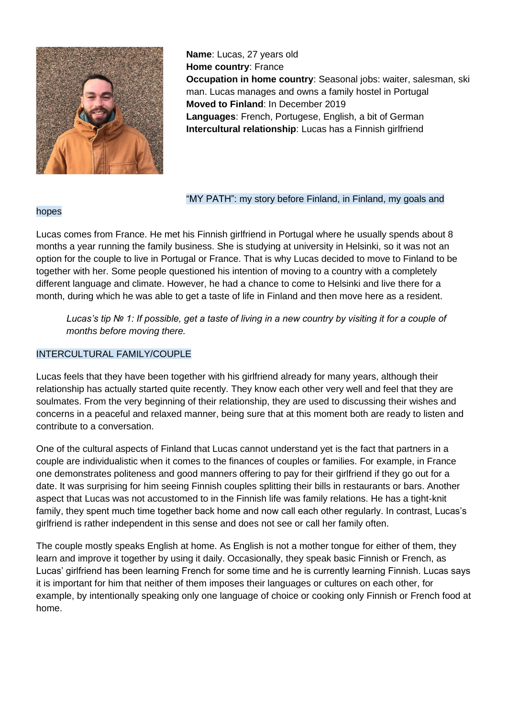

**Name**: Lucas, 27 years old **Home country**: France **Occupation in home country**: Seasonal jobs: waiter, salesman, ski man. Lucas manages and owns a family hostel in Portugal **Moved to Finland**: In December 2019 **Languages**: French, Portugese, English, a bit of German **Intercultural relationship**: Lucas has a Finnish girlfriend

## hopes

#### "MY PATH": my story before Finland, in Finland, my goals and

Lucas comes from France. He met his Finnish girlfriend in Portugal where he usually spends about 8 months a year running the family business. She is studying at university in Helsinki, so it was not an option for the couple to live in Portugal or France. That is why Lucas decided to move to Finland to be together with her. Some people questioned his intention of moving to a country with a completely different language and climate. However, he had a chance to come to Helsinki and live there for a month, during which he was able to get a taste of life in Finland and then move here as a resident.

*Lucas's tip № 1: If possible, get a taste of living in a new country by visiting it for a couple of months before moving there.* 

# INTERCULTURAL FAMILY/COUPLE

Lucas feels that they have been together with his girlfriend already for many years, although their relationship has actually started quite recently. They know each other very well and feel that they are soulmates. From the very beginning of their relationship, they are used to discussing their wishes and concerns in a peaceful and relaxed manner, being sure that at this moment both are ready to listen and contribute to a conversation.

One of the cultural aspects of Finland that Lucas cannot understand yet is the fact that partners in a couple are individualistic when it comes to the finances of couples or families. For example, in France one demonstrates politeness and good manners offering to pay for their girlfriend if they go out for a date. It was surprising for him seeing Finnish couples splitting their bills in restaurants or bars. Another aspect that Lucas was not accustomed to in the Finnish life was family relations. He has a tight-knit family, they spent much time together back home and now call each other regularly. In contrast, Lucas's girlfriend is rather independent in this sense and does not see or call her family often.

The couple mostly speaks English at home. As English is not a mother tongue for either of them, they learn and improve it together by using it daily. Occasionally, they speak basic Finnish or French, as Lucas' girlfriend has been learning French for some time and he is currently learning Finnish. Lucas says it is important for him that neither of them imposes their languages or cultures on each other, for example, by intentionally speaking only one language of choice or cooking only Finnish or French food at home.